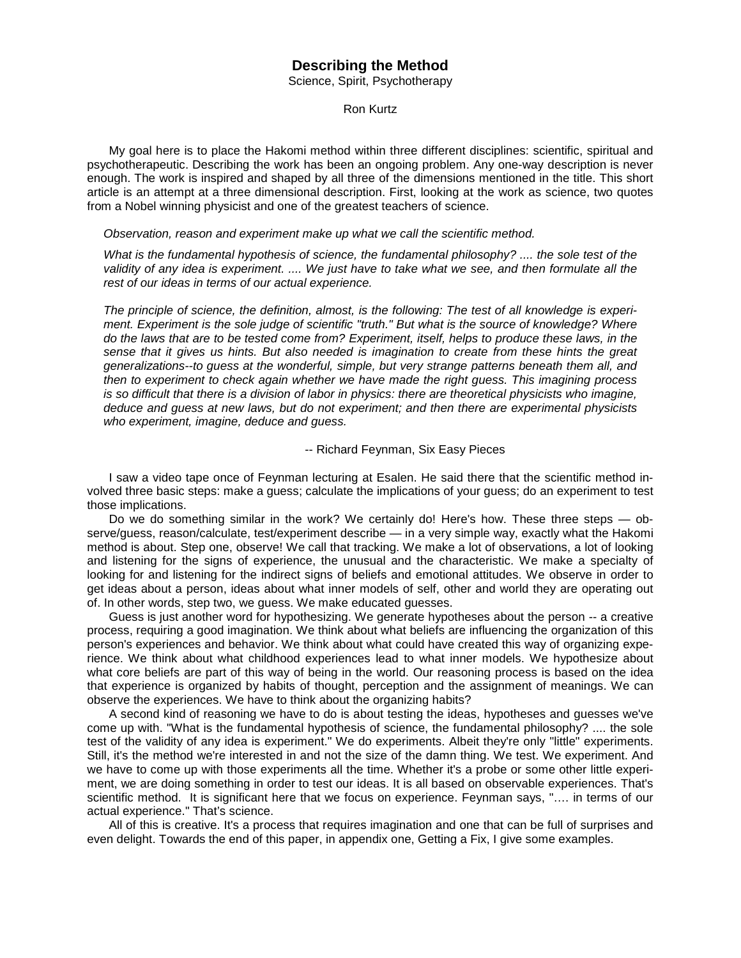# **Describing the Method**

Science, Spirit, Psychotherapy

### Ron Kurtz

My goal here is to place the Hakomi method within three different disciplines: scientific, spiritual and psychotherapeutic. Describing the work has been an ongoing problem. Any one-way description is never enough. The work is inspired and shaped by all three of the dimensions mentioned in the title. This short article is an attempt at a three dimensional description. First, looking at the work as science, two quotes from a Nobel winning physicist and one of the greatest teachers of science.

#### Observation, reason and experiment make up what we call the scientific method.

What is the fundamental hypothesis of science, the fundamental philosophy? .... the sole test of the validity of any idea is experiment. .... We just have to take what we see, and then formulate all the rest of our ideas in terms of our actual experience.

The principle of science, the definition, almost, is the following: The test of all knowledge is experiment. Experiment is the sole judge of scientific "truth." But what is the source of knowledge? Where do the laws that are to be tested come from? Experiment, itself, helps to produce these laws, in the sense that it gives us hints. But also needed is imagination to create from these hints the great generalizations--to guess at the wonderful, simple, but very strange patterns beneath them all, and then to experiment to check again whether we have made the right guess. This imagining process is so difficult that there is a division of labor in physics: there are theoretical physicists who imagine, deduce and guess at new laws, but do not experiment; and then there are experimental physicists who experiment, imagine, deduce and guess.

## -- Richard Feynman, Six Easy Pieces

I saw a video tape once of Feynman lecturing at Esalen. He said there that the scientific method involved three basic steps: make a guess; calculate the implications of your guess; do an experiment to test those implications.

Do we do something similar in the work? We certainly do! Here's how. These three steps - observe/guess, reason/calculate, test/experiment describe — in a very simple way, exactly what the Hakomi method is about. Step one, observe! We call that tracking. We make a lot of observations, a lot of looking and listening for the signs of experience, the unusual and the characteristic. We make a specialty of looking for and listening for the indirect signs of beliefs and emotional attitudes. We observe in order to get ideas about a person, ideas about what inner models of self, other and world they are operating out of. In other words, step two, we guess. We make educated guesses.

Guess is just another word for hypothesizing. We generate hypotheses about the person -- a creative process, requiring a good imagination. We think about what beliefs are influencing the organization of this person's experiences and behavior. We think about what could have created this way of organizing experience. We think about what childhood experiences lead to what inner models. We hypothesize about what core beliefs are part of this way of being in the world. Our reasoning process is based on the idea that experience is organized by habits of thought, perception and the assignment of meanings. We can observe the experiences. We have to think about the organizing habits?

A second kind of reasoning we have to do is about testing the ideas, hypotheses and guesses we've come up with. "What is the fundamental hypothesis of science, the fundamental philosophy? .... the sole test of the validity of any idea is experiment." We do experiments. Albeit they're only "little" experiments. Still, it's the method we're interested in and not the size of the damn thing. We test. We experiment. And we have to come up with those experiments all the time. Whether it's a probe or some other little experiment, we are doing something in order to test our ideas. It is all based on observable experiences. That's scientific method. It is significant here that we focus on experience. Feynman says, "…. in terms of our actual experience." That's science.

All of this is creative. It's a process that requires imagination and one that can be full of surprises and even delight. Towards the end of this paper, in appendix one, Getting a Fix, I give some examples.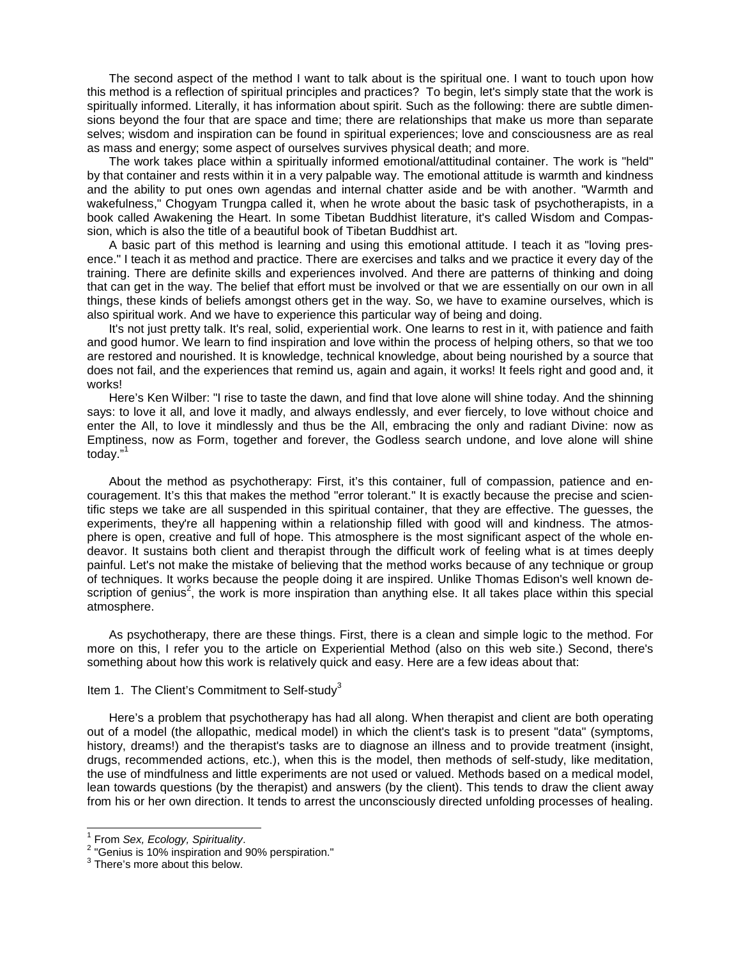The second aspect of the method I want to talk about is the spiritual one. I want to touch upon how this method is a reflection of spiritual principles and practices? To begin, let's simply state that the work is spiritually informed. Literally, it has information about spirit. Such as the following: there are subtle dimensions beyond the four that are space and time; there are relationships that make us more than separate selves; wisdom and inspiration can be found in spiritual experiences; love and consciousness are as real as mass and energy; some aspect of ourselves survives physical death; and more.

The work takes place within a spiritually informed emotional/attitudinal container. The work is "held" by that container and rests within it in a very palpable way. The emotional attitude is warmth and kindness and the ability to put ones own agendas and internal chatter aside and be with another. "Warmth and wakefulness," Chogyam Trungpa called it, when he wrote about the basic task of psychotherapists, in a book called Awakening the Heart. In some Tibetan Buddhist literature, it's called Wisdom and Compassion, which is also the title of a beautiful book of Tibetan Buddhist art.

A basic part of this method is learning and using this emotional attitude. I teach it as "loving presence." I teach it as method and practice. There are exercises and talks and we practice it every day of the training. There are definite skills and experiences involved. And there are patterns of thinking and doing that can get in the way. The belief that effort must be involved or that we are essentially on our own in all things, these kinds of beliefs amongst others get in the way. So, we have to examine ourselves, which is also spiritual work. And we have to experience this particular way of being and doing.

It's not just pretty talk. It's real, solid, experiential work. One learns to rest in it, with patience and faith and good humor. We learn to find inspiration and love within the process of helping others, so that we too are restored and nourished. It is knowledge, technical knowledge, about being nourished by a source that does not fail, and the experiences that remind us, again and again, it works! It feels right and good and, it works!

Here's Ken Wilber: "I rise to taste the dawn, and find that love alone will shine today. And the shinning says: to love it all, and love it madly, and always endlessly, and ever fiercely, to love without choice and enter the All, to love it mindlessly and thus be the All, embracing the only and radiant Divine: now as Emptiness, now as Form, together and forever, the Godless search undone, and love alone will shine today."<sup>1</sup>

About the method as psychotherapy: First, it's this container, full of compassion, patience and encouragement. It's this that makes the method "error tolerant." It is exactly because the precise and scientific steps we take are all suspended in this spiritual container, that they are effective. The guesses, the experiments, they're all happening within a relationship filled with good will and kindness. The atmosphere is open, creative and full of hope. This atmosphere is the most significant aspect of the whole endeavor. It sustains both client and therapist through the difficult work of feeling what is at times deeply painful. Let's not make the mistake of believing that the method works because of any technique or group of techniques. It works because the people doing it are inspired. Unlike Thomas Edison's well known description of genius<sup>2</sup>, the work is more inspiration than anything else. It all takes place within this special atmosphere.

As psychotherapy, there are these things. First, there is a clean and simple logic to the method. For more on this, I refer you to the article on Experiential Method (also on this web site.) Second, there's something about how this work is relatively quick and easy. Here are a few ideas about that:

#### Item 1. The Client's Commitment to Self-study<sup>3</sup>

Here's a problem that psychotherapy has had all along. When therapist and client are both operating out of a model (the allopathic, medical model) in which the client's task is to present "data" (symptoms, history, dreams!) and the therapist's tasks are to diagnose an illness and to provide treatment (insight, drugs, recommended actions, etc.), when this is the model, then methods of self-study, like meditation, the use of mindfulness and little experiments are not used or valued. Methods based on a medical model, lean towards questions (by the therapist) and answers (by the client). This tends to draw the client away from his or her own direction. It tends to arrest the unconsciously directed unfolding processes of healing.

 $\overline{a}$ 

<sup>1</sup>

ˈ From *Sex, Ecology, Spirituality.*<br><sup>2</sup> "Genius is 10% inspiration and 90% perspiration."

 $3$  There's more about this below.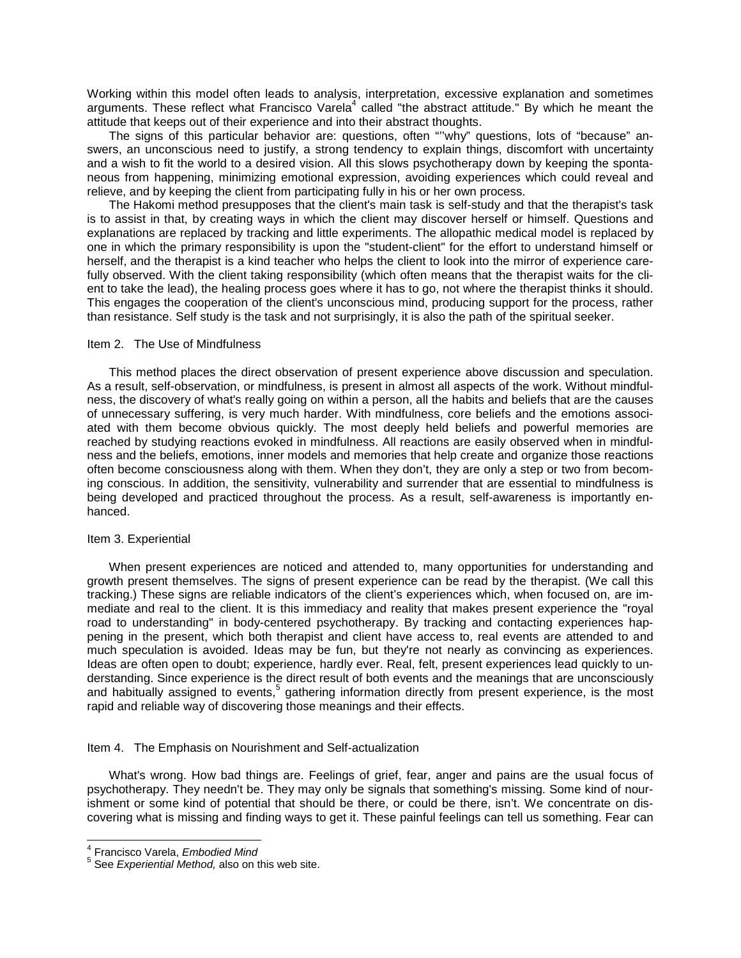Working within this model often leads to analysis, interpretation, excessive explanation and sometimes arguments. These reflect what Francisco Varela<sup>4</sup> called "the abstract attitude." By which he meant the attitude that keeps out of their experience and into their abstract thoughts.

The signs of this particular behavior are: questions, often "''why" questions, lots of "because" answers, an unconscious need to justify, a strong tendency to explain things, discomfort with uncertainty and a wish to fit the world to a desired vision. All this slows psychotherapy down by keeping the spontaneous from happening, minimizing emotional expression, avoiding experiences which could reveal and relieve, and by keeping the client from participating fully in his or her own process.

The Hakomi method presupposes that the client's main task is self-study and that the therapist's task is to assist in that, by creating ways in which the client may discover herself or himself. Questions and explanations are replaced by tracking and little experiments. The allopathic medical model is replaced by one in which the primary responsibility is upon the "student-client" for the effort to understand himself or herself, and the therapist is a kind teacher who helps the client to look into the mirror of experience carefully observed. With the client taking responsibility (which often means that the therapist waits for the client to take the lead), the healing process goes where it has to go, not where the therapist thinks it should. This engages the cooperation of the client's unconscious mind, producing support for the process, rather than resistance. Self study is the task and not surprisingly, it is also the path of the spiritual seeker.

#### Item 2. The Use of Mindfulness

This method places the direct observation of present experience above discussion and speculation. As a result, self-observation, or mindfulness, is present in almost all aspects of the work. Without mindfulness, the discovery of what's really going on within a person, all the habits and beliefs that are the causes of unnecessary suffering, is very much harder. With mindfulness, core beliefs and the emotions associated with them become obvious quickly. The most deeply held beliefs and powerful memories are reached by studying reactions evoked in mindfulness. All reactions are easily observed when in mindfulness and the beliefs, emotions, inner models and memories that help create and organize those reactions often become consciousness along with them. When they don't, they are only a step or two from becoming conscious. In addition, the sensitivity, vulnerability and surrender that are essential to mindfulness is being developed and practiced throughout the process. As a result, self-awareness is importantly enhanced.

### Item 3. Experiential

When present experiences are noticed and attended to, many opportunities for understanding and growth present themselves. The signs of present experience can be read by the therapist. (We call this tracking.) These signs are reliable indicators of the client's experiences which, when focused on, are immediate and real to the client. It is this immediacy and reality that makes present experience the "royal road to understanding" in body-centered psychotherapy. By tracking and contacting experiences happening in the present, which both therapist and client have access to, real events are attended to and much speculation is avoided. Ideas may be fun, but they're not nearly as convincing as experiences. Ideas are often open to doubt; experience, hardly ever. Real, felt, present experiences lead quickly to understanding. Since experience is the direct result of both events and the meanings that are unconsciously and habitually assigned to events,<sup>5</sup> gathering information directly from present experience, is the most rapid and reliable way of discovering those meanings and their effects.

#### Item 4. The Emphasis on Nourishment and Self-actualization

What's wrong. How bad things are. Feelings of grief, fear, anger and pains are the usual focus of psychotherapy. They needn't be. They may only be signals that something's missing. Some kind of nourishment or some kind of potential that should be there, or could be there, isn't. We concentrate on discovering what is missing and finding ways to get it. These painful feelings can tell us something. Fear can

<sup>&</sup>lt;sup>4</sup><br>Francisco Varela, *Embodied Mino*<br><sup>5</sup> See *Experiential Mathod* also an

 $5$  See Experiential Method, also on this web site.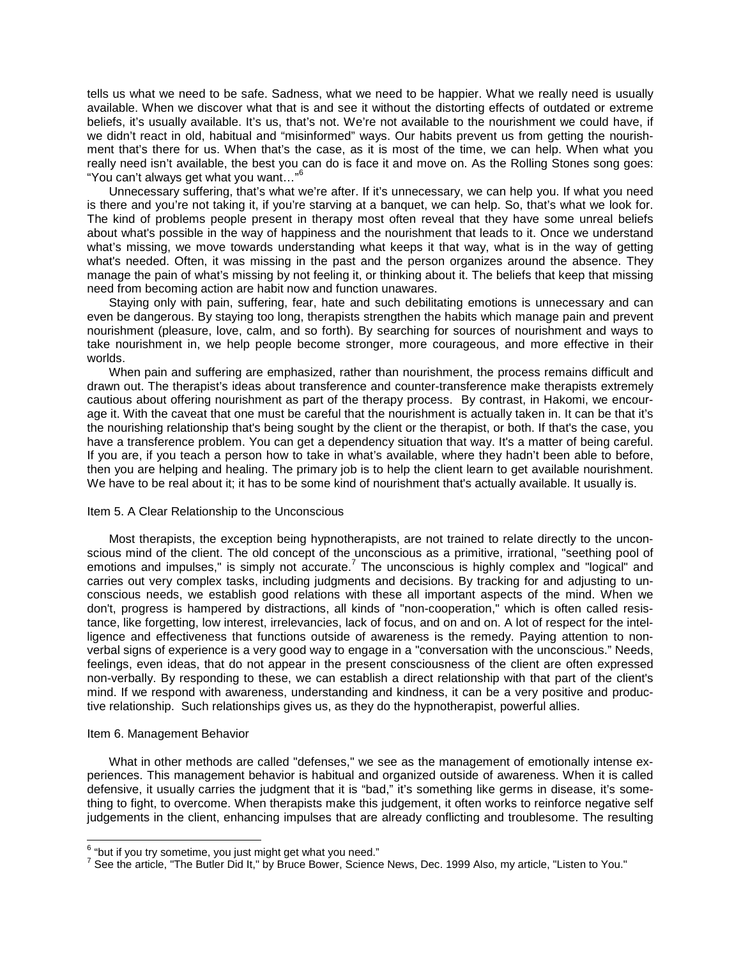tells us what we need to be safe. Sadness, what we need to be happier. What we really need is usually available. When we discover what that is and see it without the distorting effects of outdated or extreme beliefs, it's usually available. It's us, that's not. We're not available to the nourishment we could have, if we didn't react in old, habitual and "misinformed" ways. Our habits prevent us from getting the nourishment that's there for us. When that's the case, as it is most of the time, we can help. When what you really need isn't available, the best you can do is face it and move on. As the Rolling Stones song goes: "You can't always get what you want…"<sup>6</sup>

Unnecessary suffering, that's what we're after. If it's unnecessary, we can help you. If what you need is there and you're not taking it, if you're starving at a banquet, we can help. So, that's what we look for. The kind of problems people present in therapy most often reveal that they have some unreal beliefs about what's possible in the way of happiness and the nourishment that leads to it. Once we understand what's missing, we move towards understanding what keeps it that way, what is in the way of getting what's needed. Often, it was missing in the past and the person organizes around the absence. They manage the pain of what's missing by not feeling it, or thinking about it. The beliefs that keep that missing need from becoming action are habit now and function unawares.

Staying only with pain, suffering, fear, hate and such debilitating emotions is unnecessary and can even be dangerous. By staying too long, therapists strengthen the habits which manage pain and prevent nourishment (pleasure, love, calm, and so forth). By searching for sources of nourishment and ways to take nourishment in, we help people become stronger, more courageous, and more effective in their worlds.

When pain and suffering are emphasized, rather than nourishment, the process remains difficult and drawn out. The therapist's ideas about transference and counter-transference make therapists extremely cautious about offering nourishment as part of the therapy process. By contrast, in Hakomi, we encourage it. With the caveat that one must be careful that the nourishment is actually taken in. It can be that it's the nourishing relationship that's being sought by the client or the therapist, or both. If that's the case, you have a transference problem. You can get a dependency situation that way. It's a matter of being careful. If you are, if you teach a person how to take in what's available, where they hadn't been able to before, then you are helping and healing. The primary job is to help the client learn to get available nourishment. We have to be real about it; it has to be some kind of nourishment that's actually available. It usually is.

#### Item 5. A Clear Relationship to the Unconscious

Most therapists, the exception being hypnotherapists, are not trained to relate directly to the unconscious mind of the client. The old concept of the unconscious as a primitive, irrational, "seething pool of emotions and impulses," is simply not accurate.<sup>7</sup> The unconscious is highly complex and "logical" and carries out very complex tasks, including judgments and decisions. By tracking for and adjusting to unconscious needs, we establish good relations with these all important aspects of the mind. When we don't, progress is hampered by distractions, all kinds of "non-cooperation," which is often called resistance, like forgetting, low interest, irrelevancies, lack of focus, and on and on. A lot of respect for the intelligence and effectiveness that functions outside of awareness is the remedy. Paying attention to nonverbal signs of experience is a very good way to engage in a "conversation with the unconscious." Needs, feelings, even ideas, that do not appear in the present consciousness of the client are often expressed non-verbally. By responding to these, we can establish a direct relationship with that part of the client's mind. If we respond with awareness, understanding and kindness, it can be a very positive and productive relationship. Such relationships gives us, as they do the hypnotherapist, powerful allies.

#### Item 6. Management Behavior

What in other methods are called "defenses," we see as the management of emotionally intense experiences. This management behavior is habitual and organized outside of awareness. When it is called defensive, it usually carries the judgment that it is "bad," it's something like germs in disease, it's something to fight, to overcome. When therapists make this judgement, it often works to reinforce negative self judgements in the client, enhancing impulses that are already conflicting and troublesome. The resulting

 6 "but if you try sometime, you just might get what you need."

<sup>&</sup>lt;sup>7</sup> See the article, "The Butler Did It," by Bruce Bower, Science News, Dec. 1999 Also, my article, "Listen to You."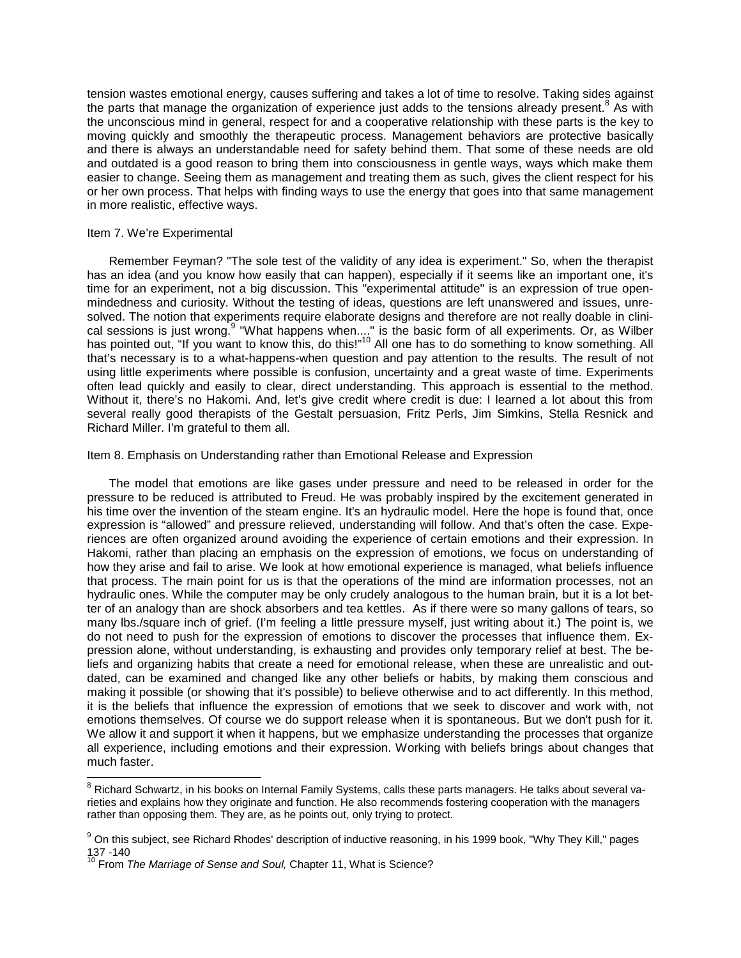tension wastes emotional energy, causes suffering and takes a lot of time to resolve. Taking sides against the parts that manage the organization of experience just adds to the tensions already present.<sup>8</sup> As with the unconscious mind in general, respect for and a cooperative relationship with these parts is the key to moving quickly and smoothly the therapeutic process. Management behaviors are protective basically and there is always an understandable need for safety behind them. That some of these needs are old and outdated is a good reason to bring them into consciousness in gentle ways, ways which make them easier to change. Seeing them as management and treating them as such, gives the client respect for his or her own process. That helps with finding ways to use the energy that goes into that same management in more realistic, effective ways.

#### Item 7. We're Experimental

Remember Feyman? "The sole test of the validity of any idea is experiment." So, when the therapist has an idea (and you know how easily that can happen), especially if it seems like an important one, it's time for an experiment, not a big discussion. This "experimental attitude" is an expression of true openmindedness and curiosity. Without the testing of ideas, questions are left unanswered and issues, unresolved. The notion that experiments require elaborate designs and therefore are not really doable in clinical sessions is just wrong.<sup>9</sup> "What happens when...." is the basic form of all experiments. Or, as Wilber has pointed out, "If you want to know this, do this!"<sup>10</sup> All one has to do something to know something. All that's necessary is to a what-happens-when question and pay attention to the results. The result of not using little experiments where possible is confusion, uncertainty and a great waste of time. Experiments often lead quickly and easily to clear, direct understanding. This approach is essential to the method. Without it, there's no Hakomi. And, let's give credit where credit is due: I learned a lot about this from several really good therapists of the Gestalt persuasion, Fritz Perls, Jim Simkins, Stella Resnick and Richard Miller. I'm grateful to them all.

Item 8. Emphasis on Understanding rather than Emotional Release and Expression

The model that emotions are like gases under pressure and need to be released in order for the pressure to be reduced is attributed to Freud. He was probably inspired by the excitement generated in his time over the invention of the steam engine. It's an hydraulic model. Here the hope is found that, once expression is "allowed" and pressure relieved, understanding will follow. And that's often the case. Experiences are often organized around avoiding the experience of certain emotions and their expression. In Hakomi, rather than placing an emphasis on the expression of emotions, we focus on understanding of how they arise and fail to arise. We look at how emotional experience is managed, what beliefs influence that process. The main point for us is that the operations of the mind are information processes, not an hydraulic ones. While the computer may be only crudely analogous to the human brain, but it is a lot better of an analogy than are shock absorbers and tea kettles. As if there were so many gallons of tears, so many lbs./square inch of grief. (I'm feeling a little pressure myself, just writing about it.) The point is, we do not need to push for the expression of emotions to discover the processes that influence them. Expression alone, without understanding, is exhausting and provides only temporary relief at best. The beliefs and organizing habits that create a need for emotional release, when these are unrealistic and outdated, can be examined and changed like any other beliefs or habits, by making them conscious and making it possible (or showing that it's possible) to believe otherwise and to act differently. In this method, it is the beliefs that influence the expression of emotions that we seek to discover and work with, not emotions themselves. Of course we do support release when it is spontaneous. But we don't push for it. We allow it and support it when it happens, but we emphasize understanding the processes that organize all experience, including emotions and their expression. Working with beliefs brings about changes that much faster.

 8 Richard Schwartz, in his books on Internal Family Systems, calls these parts managers. He talks about several varieties and explains how they originate and function. He also recommends fostering cooperation with the managers rather than opposing them. They are, as he points out, only trying to protect.

 $^9$  On this subject, see Richard Rhodes' description of inductive reasoning, in his 1999 book, "Why They Kill," pages  $137 - 140$ 

From The Marriage of Sense and Soul, Chapter 11, What is Science?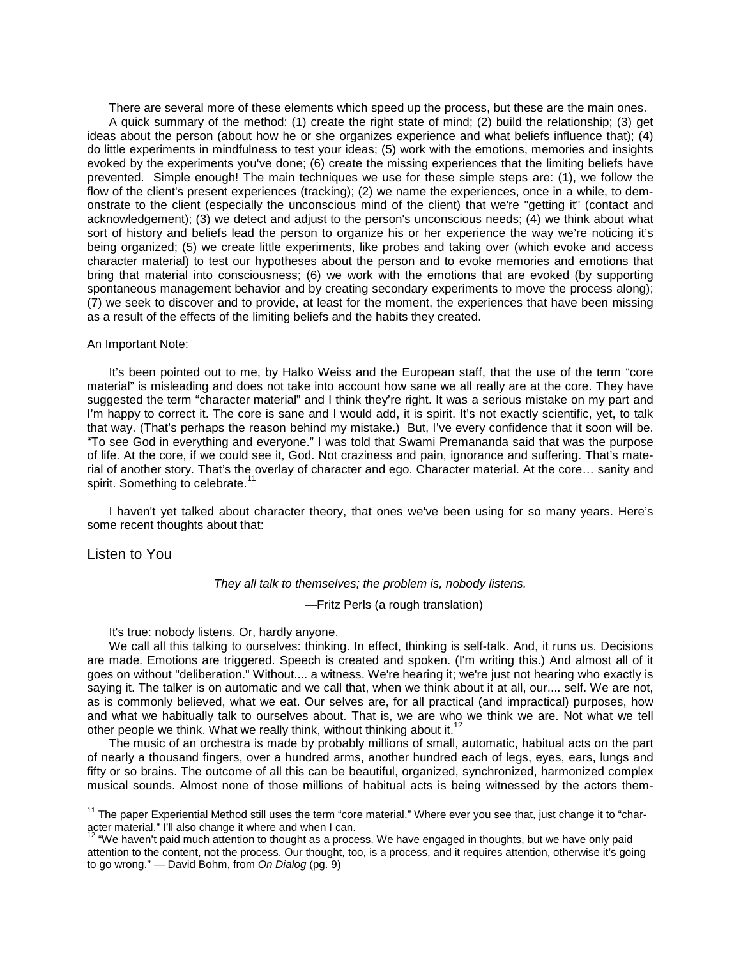There are several more of these elements which speed up the process, but these are the main ones.

A quick summary of the method: (1) create the right state of mind; (2) build the relationship; (3) get ideas about the person (about how he or she organizes experience and what beliefs influence that); (4) do little experiments in mindfulness to test your ideas; (5) work with the emotions, memories and insights evoked by the experiments you've done; (6) create the missing experiences that the limiting beliefs have prevented. Simple enough! The main techniques we use for these simple steps are: (1), we follow the flow of the client's present experiences (tracking); (2) we name the experiences, once in a while, to demonstrate to the client (especially the unconscious mind of the client) that we're "getting it" (contact and acknowledgement); (3) we detect and adjust to the person's unconscious needs; (4) we think about what sort of history and beliefs lead the person to organize his or her experience the way we're noticing it's being organized; (5) we create little experiments, like probes and taking over (which evoke and access character material) to test our hypotheses about the person and to evoke memories and emotions that bring that material into consciousness; (6) we work with the emotions that are evoked (by supporting spontaneous management behavior and by creating secondary experiments to move the process along); (7) we seek to discover and to provide, at least for the moment, the experiences that have been missing as a result of the effects of the limiting beliefs and the habits they created.

#### An Important Note:

It's been pointed out to me, by Halko Weiss and the European staff, that the use of the term "core material" is misleading and does not take into account how sane we all really are at the core. They have suggested the term "character material" and I think they're right. It was a serious mistake on my part and I'm happy to correct it. The core is sane and I would add, it is spirit. It's not exactly scientific, yet, to talk that way. (That's perhaps the reason behind my mistake.) But, I've every confidence that it soon will be. "To see God in everything and everyone." I was told that Swami Premananda said that was the purpose of life. At the core, if we could see it, God. Not craziness and pain, ignorance and suffering. That's material of another story. That's the overlay of character and ego. Character material. At the core… sanity and spirit. Something to celebrate.<sup>11</sup>

I haven't yet talked about character theory, that ones we've been using for so many years. Here's some recent thoughts about that:

# Listen to You

 $\overline{a}$ 

They all talk to themselves; the problem is, nobody listens.

—Fritz Perls (a rough translation)

It's true: nobody listens. Or, hardly anyone.

We call all this talking to ourselves: thinking. In effect, thinking is self-talk. And, it runs us. Decisions are made. Emotions are triggered. Speech is created and spoken. (I'm writing this.) And almost all of it goes on without "deliberation." Without.... a witness. We're hearing it; we're just not hearing who exactly is saying it. The talker is on automatic and we call that, when we think about it at all, our.... self. We are not, as is commonly believed, what we eat. Our selves are, for all practical (and impractical) purposes, how and what we habitually talk to ourselves about. That is, we are who we think we are. Not what we tell other people we think. What we really think, without thinking about it.<sup>1</sup>

The music of an orchestra is made by probably millions of small, automatic, habitual acts on the part of nearly a thousand fingers, over a hundred arms, another hundred each of legs, eyes, ears, lungs and fifty or so brains. The outcome of all this can be beautiful, organized, synchronized, harmonized complex musical sounds. Almost none of those millions of habitual acts is being witnessed by the actors them-

<sup>&</sup>lt;sup>11</sup> The paper Experiential Method still uses the term "core material." Where ever you see that, just change it to "character material." I'll also change it where and when I can.

 $12$  "We haven't paid much attention to thought as a process. We have engaged in thoughts, but we have only paid attention to the content, not the process. Our thought, too, is a process, and it requires attention, otherwise it's going to go wrong." — David Bohm, from On Dialog (pg. 9)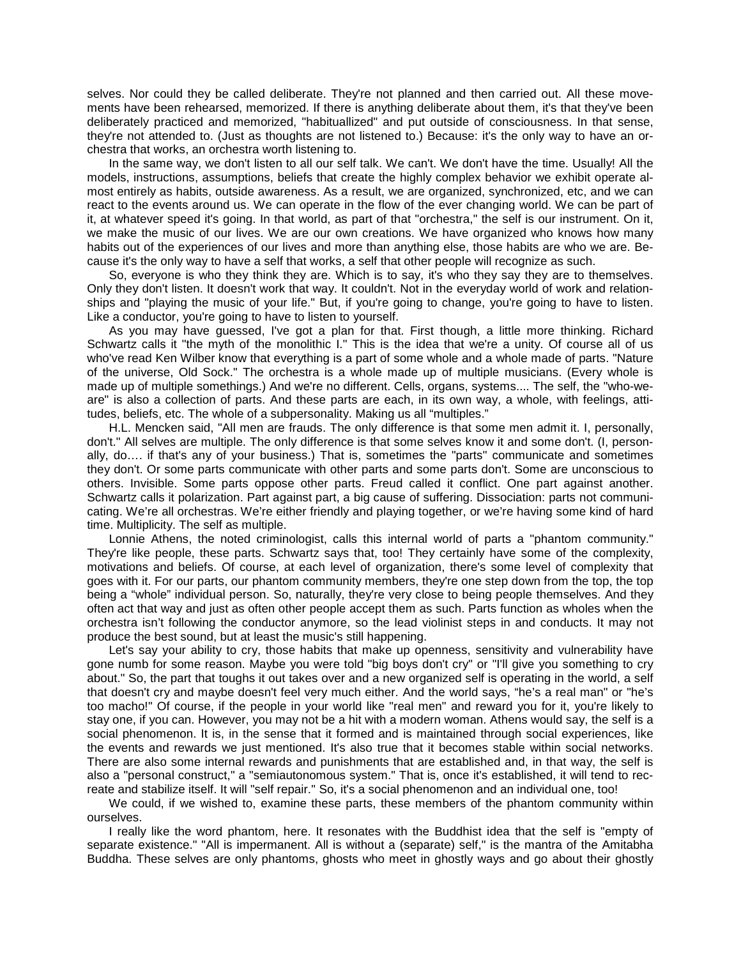selves. Nor could they be called deliberate. They're not planned and then carried out. All these movements have been rehearsed, memorized. If there is anything deliberate about them, it's that they've been deliberately practiced and memorized, "habituallized" and put outside of consciousness. In that sense, they're not attended to. (Just as thoughts are not listened to.) Because: it's the only way to have an orchestra that works, an orchestra worth listening to.

In the same way, we don't listen to all our self talk. We can't. We don't have the time. Usually! All the models, instructions, assumptions, beliefs that create the highly complex behavior we exhibit operate almost entirely as habits, outside awareness. As a result, we are organized, synchronized, etc, and we can react to the events around us. We can operate in the flow of the ever changing world. We can be part of it, at whatever speed it's going. In that world, as part of that "orchestra," the self is our instrument. On it, we make the music of our lives. We are our own creations. We have organized who knows how many habits out of the experiences of our lives and more than anything else, those habits are who we are. Because it's the only way to have a self that works, a self that other people will recognize as such.

So, everyone is who they think they are. Which is to say, it's who they say they are to themselves. Only they don't listen. It doesn't work that way. It couldn't. Not in the everyday world of work and relationships and "playing the music of your life." But, if you're going to change, you're going to have to listen. Like a conductor, you're going to have to listen to yourself.

As you may have guessed, I've got a plan for that. First though, a little more thinking. Richard Schwartz calls it "the myth of the monolithic I." This is the idea that we're a unity. Of course all of us who've read Ken Wilber know that everything is a part of some whole and a whole made of parts. "Nature of the universe, Old Sock." The orchestra is a whole made up of multiple musicians. (Every whole is made up of multiple somethings.) And we're no different. Cells, organs, systems.... The self, the "who-weare" is also a collection of parts. And these parts are each, in its own way, a whole, with feelings, attitudes, beliefs, etc. The whole of a subpersonality. Making us all "multiples."

H.L. Mencken said, "All men are frauds. The only difference is that some men admit it. I, personally, don't." All selves are multiple. The only difference is that some selves know it and some don't. (I, personally, do…. if that's any of your business.) That is, sometimes the "parts" communicate and sometimes they don't. Or some parts communicate with other parts and some parts don't. Some are unconscious to others. Invisible. Some parts oppose other parts. Freud called it conflict. One part against another. Schwartz calls it polarization. Part against part, a big cause of suffering. Dissociation: parts not communicating. We're all orchestras. We're either friendly and playing together, or we're having some kind of hard time. Multiplicity. The self as multiple.

Lonnie Athens, the noted criminologist, calls this internal world of parts a "phantom community." They're like people, these parts. Schwartz says that, too! They certainly have some of the complexity, motivations and beliefs. Of course, at each level of organization, there's some level of complexity that goes with it. For our parts, our phantom community members, they're one step down from the top, the top being a "whole" individual person. So, naturally, they're very close to being people themselves. And they often act that way and just as often other people accept them as such. Parts function as wholes when the orchestra isn't following the conductor anymore, so the lead violinist steps in and conducts. It may not produce the best sound, but at least the music's still happening.

Let's say your ability to cry, those habits that make up openness, sensitivity and vulnerability have gone numb for some reason. Maybe you were told "big boys don't cry" or "I'll give you something to cry about." So, the part that toughs it out takes over and a new organized self is operating in the world, a self that doesn't cry and maybe doesn't feel very much either. And the world says, "he's a real man" or "he's too macho!" Of course, if the people in your world like "real men" and reward you for it, you're likely to stay one, if you can. However, you may not be a hit with a modern woman. Athens would say, the self is a social phenomenon. It is, in the sense that it formed and is maintained through social experiences, like the events and rewards we just mentioned. It's also true that it becomes stable within social networks. There are also some internal rewards and punishments that are established and, in that way, the self is also a "personal construct," a "semiautonomous system." That is, once it's established, it will tend to recreate and stabilize itself. It will "self repair." So, it's a social phenomenon and an individual one, too!

We could, if we wished to, examine these parts, these members of the phantom community within ourselves.

I really like the word phantom, here. It resonates with the Buddhist idea that the self is "empty of separate existence." "All is impermanent. All is without a (separate) self," is the mantra of the Amitabha Buddha. These selves are only phantoms, ghosts who meet in ghostly ways and go about their ghostly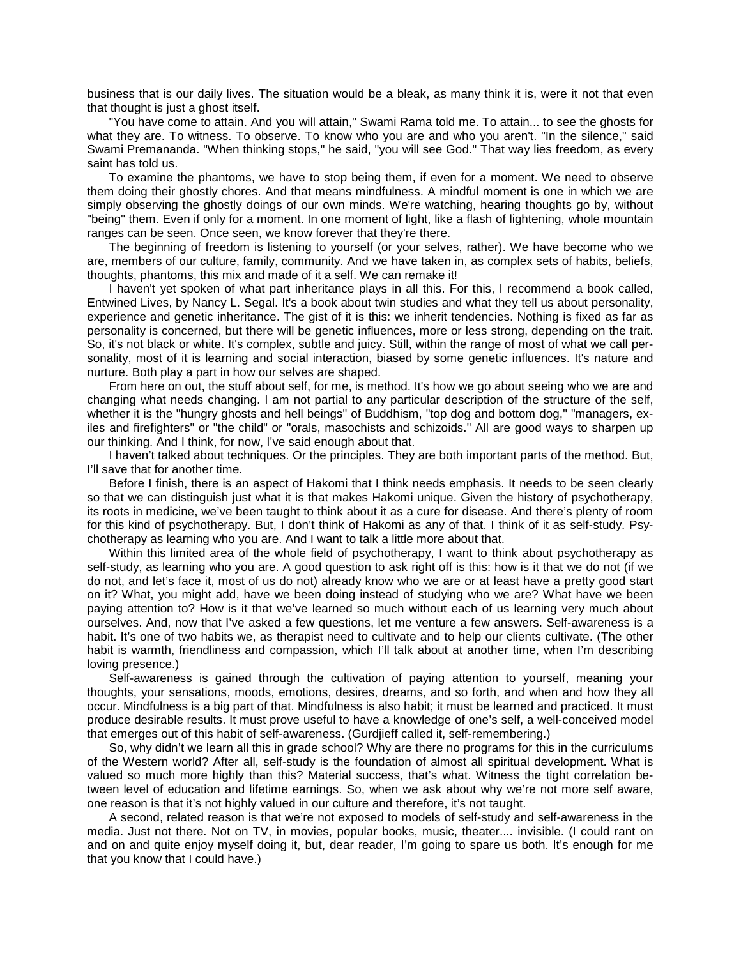business that is our daily lives. The situation would be a bleak, as many think it is, were it not that even that thought is just a ghost itself.

"You have come to attain. And you will attain," Swami Rama told me. To attain... to see the ghosts for what they are. To witness. To observe. To know who you are and who you aren't. "In the silence," said Swami Premananda. "When thinking stops," he said, "you will see God." That way lies freedom, as every saint has told us.

To examine the phantoms, we have to stop being them, if even for a moment. We need to observe them doing their ghostly chores. And that means mindfulness. A mindful moment is one in which we are simply observing the ghostly doings of our own minds. We're watching, hearing thoughts go by, without "being" them. Even if only for a moment. In one moment of light, like a flash of lightening, whole mountain ranges can be seen. Once seen, we know forever that they're there.

The beginning of freedom is listening to yourself (or your selves, rather). We have become who we are, members of our culture, family, community. And we have taken in, as complex sets of habits, beliefs, thoughts, phantoms, this mix and made of it a self. We can remake it!

I haven't yet spoken of what part inheritance plays in all this. For this, I recommend a book called, Entwined Lives, by Nancy L. Segal. It's a book about twin studies and what they tell us about personality, experience and genetic inheritance. The gist of it is this: we inherit tendencies. Nothing is fixed as far as personality is concerned, but there will be genetic influences, more or less strong, depending on the trait. So, it's not black or white. It's complex, subtle and juicy. Still, within the range of most of what we call personality, most of it is learning and social interaction, biased by some genetic influences. It's nature and nurture. Both play a part in how our selves are shaped.

From here on out, the stuff about self, for me, is method. It's how we go about seeing who we are and changing what needs changing. I am not partial to any particular description of the structure of the self, whether it is the "hungry ghosts and hell beings" of Buddhism, "top dog and bottom dog," "managers, exiles and firefighters" or "the child" or "orals, masochists and schizoids." All are good ways to sharpen up our thinking. And I think, for now, I've said enough about that.

I haven't talked about techniques. Or the principles. They are both important parts of the method. But, I'll save that for another time.

Before I finish, there is an aspect of Hakomi that I think needs emphasis. It needs to be seen clearly so that we can distinguish just what it is that makes Hakomi unique. Given the history of psychotherapy, its roots in medicine, we've been taught to think about it as a cure for disease. And there's plenty of room for this kind of psychotherapy. But, I don't think of Hakomi as any of that. I think of it as self-study. Psychotherapy as learning who you are. And I want to talk a little more about that.

Within this limited area of the whole field of psychotherapy, I want to think about psychotherapy as self-study, as learning who you are. A good question to ask right off is this: how is it that we do not (if we do not, and let's face it, most of us do not) already know who we are or at least have a pretty good start on it? What, you might add, have we been doing instead of studying who we are? What have we been paying attention to? How is it that we've learned so much without each of us learning very much about ourselves. And, now that I've asked a few questions, let me venture a few answers. Self-awareness is a habit. It's one of two habits we, as therapist need to cultivate and to help our clients cultivate. (The other habit is warmth, friendliness and compassion, which I'll talk about at another time, when I'm describing loving presence.)

Self-awareness is gained through the cultivation of paying attention to yourself, meaning your thoughts, your sensations, moods, emotions, desires, dreams, and so forth, and when and how they all occur. Mindfulness is a big part of that. Mindfulness is also habit; it must be learned and practiced. It must produce desirable results. It must prove useful to have a knowledge of one's self, a well-conceived model that emerges out of this habit of self-awareness. (Gurdjieff called it, self-remembering.)

So, why didn't we learn all this in grade school? Why are there no programs for this in the curriculums of the Western world? After all, self-study is the foundation of almost all spiritual development. What is valued so much more highly than this? Material success, that's what. Witness the tight correlation between level of education and lifetime earnings. So, when we ask about why we're not more self aware, one reason is that it's not highly valued in our culture and therefore, it's not taught.

A second, related reason is that we're not exposed to models of self-study and self-awareness in the media. Just not there. Not on TV, in movies, popular books, music, theater.... invisible. (I could rant on and on and quite enjoy myself doing it, but, dear reader, I'm going to spare us both. It's enough for me that you know that I could have.)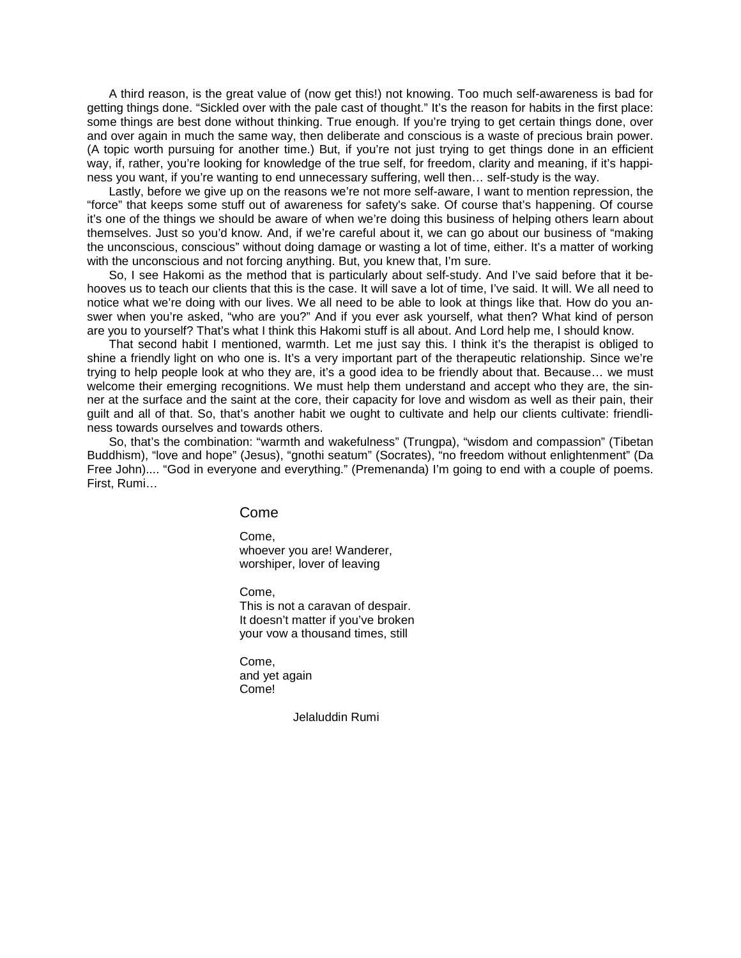A third reason, is the great value of (now get this!) not knowing. Too much self-awareness is bad for getting things done. "Sickled over with the pale cast of thought." It's the reason for habits in the first place: some things are best done without thinking. True enough. If you're trying to get certain things done, over and over again in much the same way, then deliberate and conscious is a waste of precious brain power. (A topic worth pursuing for another time.) But, if you're not just trying to get things done in an efficient way, if, rather, you're looking for knowledge of the true self, for freedom, clarity and meaning, if it's happiness you want, if you're wanting to end unnecessary suffering, well then… self-study is the way.

Lastly, before we give up on the reasons we're not more self-aware, I want to mention repression, the "force" that keeps some stuff out of awareness for safety's sake. Of course that's happening. Of course it's one of the things we should be aware of when we're doing this business of helping others learn about themselves. Just so you'd know. And, if we're careful about it, we can go about our business of "making the unconscious, conscious" without doing damage or wasting a lot of time, either. It's a matter of working with the unconscious and not forcing anything. But, you knew that, I'm sure.

So, I see Hakomi as the method that is particularly about self-study. And I've said before that it behooves us to teach our clients that this is the case. It will save a lot of time, I've said. It will. We all need to notice what we're doing with our lives. We all need to be able to look at things like that. How do you answer when you're asked, "who are you?" And if you ever ask yourself, what then? What kind of person are you to yourself? That's what I think this Hakomi stuff is all about. And Lord help me, I should know.

That second habit I mentioned, warmth. Let me just say this. I think it's the therapist is obliged to shine a friendly light on who one is. It's a very important part of the therapeutic relationship. Since we're trying to help people look at who they are, it's a good idea to be friendly about that. Because… we must welcome their emerging recognitions. We must help them understand and accept who they are, the sinner at the surface and the saint at the core, their capacity for love and wisdom as well as their pain, their guilt and all of that. So, that's another habit we ought to cultivate and help our clients cultivate: friendliness towards ourselves and towards others.

So, that's the combination: "warmth and wakefulness" (Trungpa), "wisdom and compassion" (Tibetan Buddhism), "love and hope" (Jesus), "gnothi seatum" (Socrates), "no freedom without enlightenment" (Da Free John).... "God in everyone and everything." (Premenanda) I'm going to end with a couple of poems. First, Rumi…

Come

Come, whoever you are! Wanderer, worshiper, lover of leaving

Come, This is not a caravan of despair. It doesn't matter if you've broken your vow a thousand times, still

Come, and yet again Come!

Jelaluddin Rumi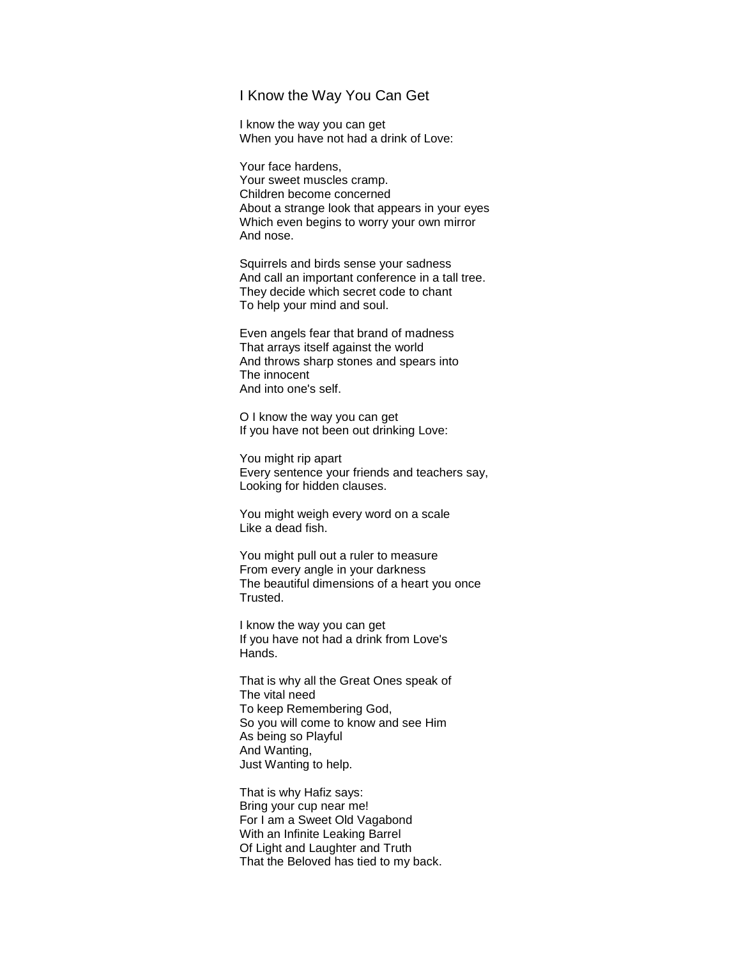# I Know the Way You Can Get

I know the way you can get When you have not had a drink of Love:

Your face hardens, Your sweet muscles cramp. Children become concerned About a strange look that appears in your eyes Which even begins to worry your own mirror And nose.

Squirrels and birds sense your sadness And call an important conference in a tall tree. They decide which secret code to chant To help your mind and soul.

Even angels fear that brand of madness That arrays itself against the world And throws sharp stones and spears into The innocent And into one's self.

O I know the way you can get If you have not been out drinking Love:

You might rip apart Every sentence your friends and teachers say, Looking for hidden clauses.

You might weigh every word on a scale Like a dead fish.

You might pull out a ruler to measure From every angle in your darkness The beautiful dimensions of a heart you once Trusted.

I know the way you can get If you have not had a drink from Love's Hands.

That is why all the Great Ones speak of The vital need To keep Remembering God, So you will come to know and see Him As being so Playful And Wanting, Just Wanting to help.

That is why Hafiz says: Bring your cup near me! For I am a Sweet Old Vagabond With an Infinite Leaking Barrel Of Light and Laughter and Truth That the Beloved has tied to my back.